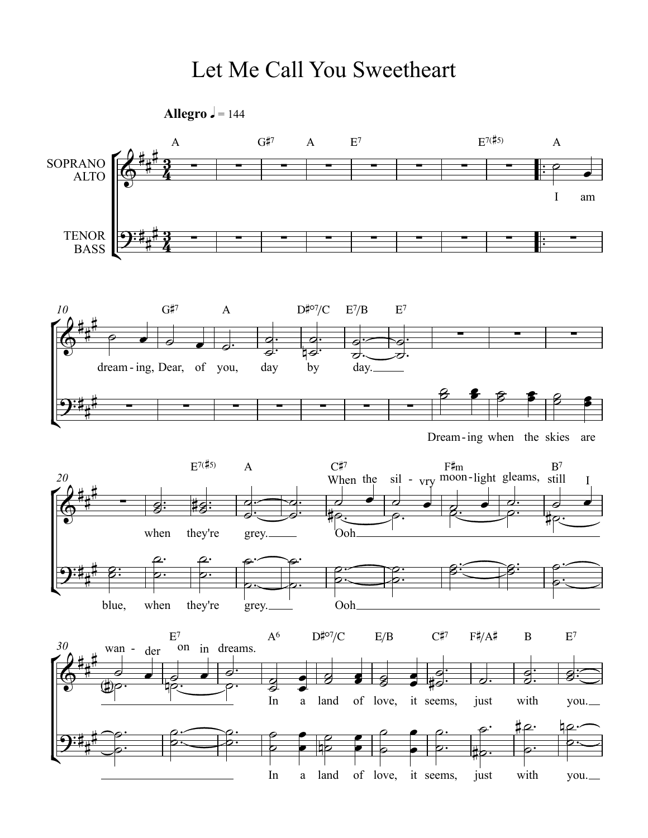## Let Me Call You Sweetheart